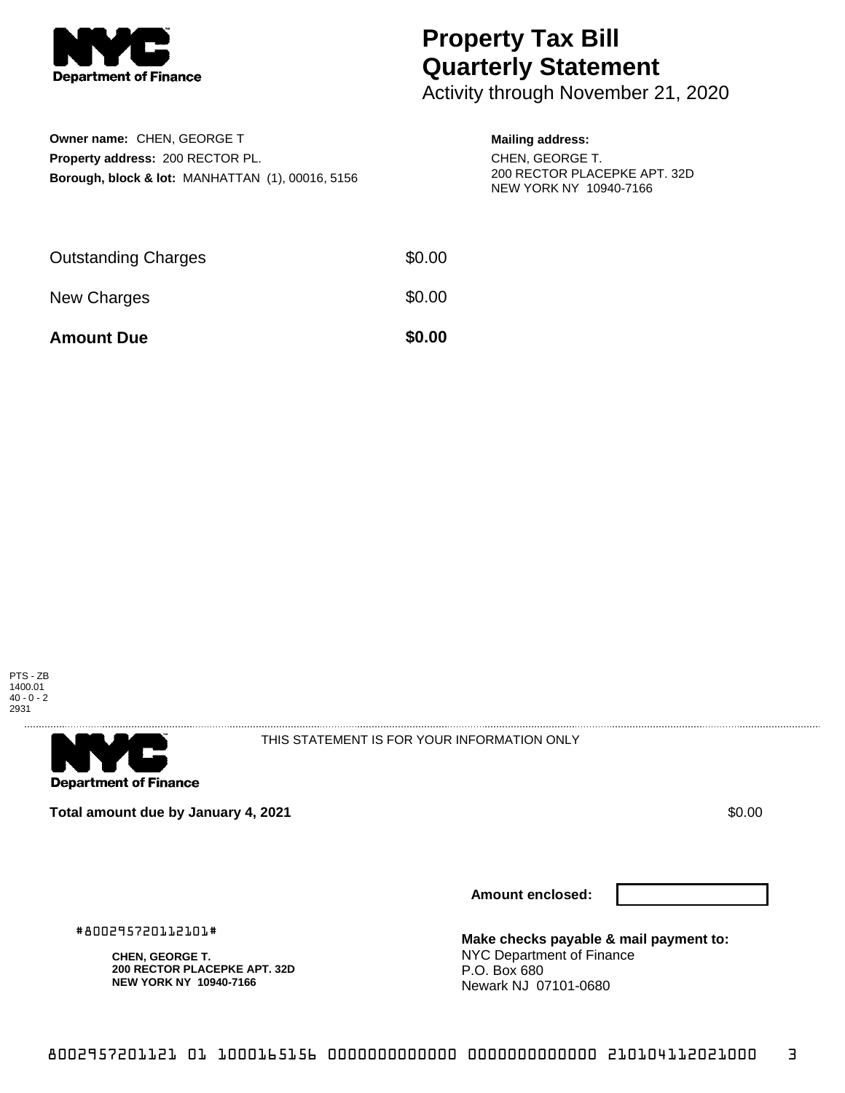

## **Property Tax Bill Quarterly Statement**

Activity through November 21, 2020

| Owner name: CHEN, GEORGE T                                  |
|-------------------------------------------------------------|
| <b>Property address: 200 RECTOR PL.</b>                     |
| <b>Borough, block &amp; lot: MANHATTAN (1), 00016, 5156</b> |

## **Mailing address:**

CHEN, GEORGE T. 200 RECTOR PLACEPKE APT. 32D NEW YORK NY 10940-7166

| <b>Amount Due</b>          | \$0.00 |
|----------------------------|--------|
| New Charges                | \$0.00 |
| <b>Outstanding Charges</b> | \$0.00 |





THIS STATEMENT IS FOR YOUR INFORMATION ONLY

**Total amount due by January 4, 2021 \$0.00**  $\bullet$  **\$0.00**  $\bullet$  **\$0.00**  $\bullet$  **\$0.00** 

#800295720112101#

**CHEN, GEORGE T.**

**200 RECTOR PLACEPKE APT. 32D NEW YORK NY 10940-7166**

**Amount enclosed:**

**Make checks payable & mail payment to:** NYC Department of Finance P.O. Box 680 Newark NJ 07101-0680